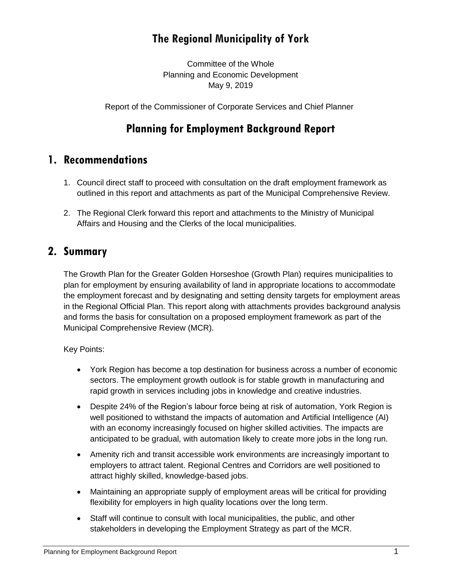# **The Regional Municipality of York**

Committee of the Whole Planning and Economic Development May 9, 2019

Report of the Commissioner of Corporate Services and Chief Planner

# **Planning for Employment Background Report**

### **1. Recommendations**

- 1. Council direct staff to proceed with consultation on the draft employment framework as outlined in this report and attachments as part of the Municipal Comprehensive Review.
- 2. The Regional Clerk forward this report and attachments to the Ministry of Municipal Affairs and Housing and the Clerks of the local municipalities.

### **2. Summary**

The Growth Plan for the Greater Golden Horseshoe (Growth Plan) requires municipalities to plan for employment by ensuring availability of land in appropriate locations to accommodate the employment forecast and by designating and setting density targets for employment areas in the Regional Official Plan. This report along with attachments provides background analysis and forms the basis for consultation on a proposed employment framework as part of the Municipal Comprehensive Review (MCR).

Key Points:

- York Region has become a top destination for business across a number of economic sectors. The employment growth outlook is for stable growth in manufacturing and rapid growth in services including jobs in knowledge and creative industries.
- Despite 24% of the Region's labour force being at risk of automation, York Region is well positioned to withstand the impacts of automation and Artificial Intelligence (AI) with an economy increasingly focused on higher skilled activities. The impacts are anticipated to be gradual, with automation likely to create more jobs in the long run.
- Amenity rich and transit accessible work environments are increasingly important to employers to attract talent. Regional Centres and Corridors are well positioned to attract highly skilled, knowledge-based jobs.
- Maintaining an appropriate supply of employment areas will be critical for providing flexibility for employers in high quality locations over the long term.
- Staff will continue to consult with local municipalities, the public, and other stakeholders in developing the Employment Strategy as part of the MCR.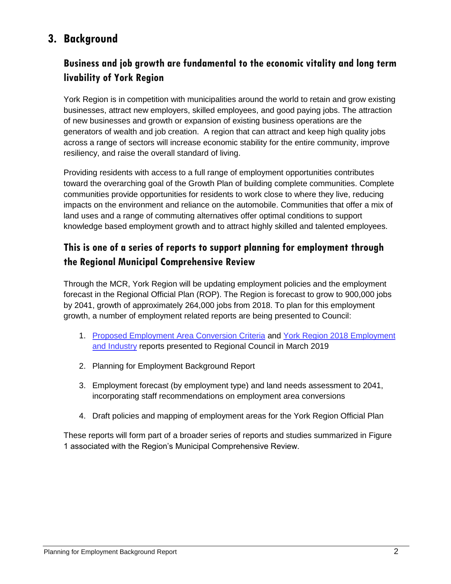# **3. Background**

### **Business and job growth are fundamental to the economic vitality and long term livability of York Region**

York Region is in competition with municipalities around the world to retain and grow existing businesses, attract new employers, skilled employees, and good paying jobs. The attraction of new businesses and growth or expansion of existing business operations are the generators of wealth and job creation. A region that can attract and keep high quality jobs across a range of sectors will increase economic stability for the entire community, improve resiliency, and raise the overall standard of living.

Providing residents with access to a full range of employment opportunities contributes toward the overarching goal of the Growth Plan of building complete communities. Complete communities provide opportunities for residents to work close to where they live, reducing impacts on the environment and reliance on the automobile. Communities that offer a mix of land uses and a range of commuting alternatives offer optimal conditions to support knowledge based employment growth and to attract highly skilled and talented employees.

### **This is one of a series of reports to support planning for employment through the Regional Municipal Comprehensive Review**

Through the MCR, York Region will be updating employment policies and the employment forecast in the Regional Official Plan (ROP). The Region is forecast to grow to 900,000 jobs by 2041, growth of approximately 264,000 jobs from 2018. To plan for this employment growth, a number of employment related reports are being presented to Council:

- 1. [Proposed Employment Area Conversion Criteria](https://yorkpublishing.escribemeetings.com/filestream.ashx?DocumentId=3161) and [York Region 2018 Employment](https://yorkpublishing.escribemeetings.com/filestream.ashx?DocumentId=3159)  [and Industry](https://yorkpublishing.escribemeetings.com/filestream.ashx?DocumentId=3159) reports presented to Regional Council in March 2019
- 2. Planning for Employment Background Report
- 3. Employment forecast (by employment type) and land needs assessment to 2041, incorporating staff recommendations on employment area conversions
- 4. Draft policies and mapping of employment areas for the York Region Official Plan

These reports will form part of a broader series of reports and studies summarized in Figure 1 associated with the Region's Municipal Comprehensive Review.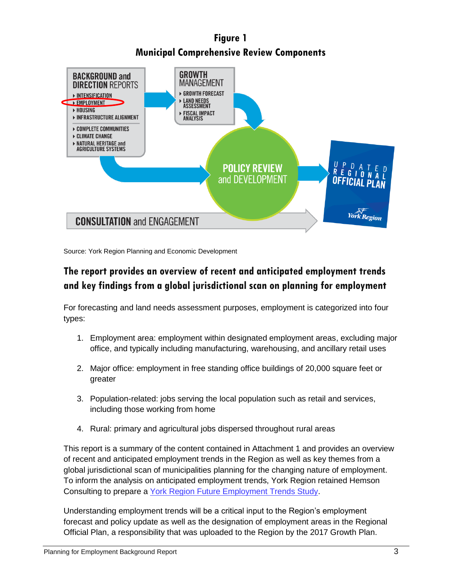# **Figure 1 Municipal Comprehensive Review Components**



Source: York Region Planning and Economic Development

# **The report provides an overview of recent and anticipated employment trends and key findings from a global jurisdictional scan on planning for employment**

For forecasting and land needs assessment purposes, employment is categorized into four types:

- 1. Employment area: employment within designated employment areas, excluding major office, and typically including manufacturing, warehousing, and ancillary retail uses
- 2. Major office: employment in free standing office buildings of 20,000 square feet or greater
- 3. Population-related: jobs serving the local population such as retail and services, including those working from home
- 4. Rural: primary and agricultural jobs dispersed throughout rural areas

This report is a summary of the content contained in Attachment 1 and provides an overview of recent and anticipated employment trends in the Region as well as key themes from a global jurisdictional scan of municipalities planning for the changing nature of employment. To inform the analysis on anticipated employment trends, York Region retained Hemson Consulting to prepare a [York Region Future Employment Trends Study.](https://www.york.ca/wps/portal/yorkhome/yorkregion/yr/municipalcomprehensivereview/municipalcomprehensivereview/!ut/p/a1/vZRNb8IwDIZ_Dcco7kdoOGbVBC2iHJg02gvq0kDDaFpKKOt-_cJ2QwLGFM0329Jjv7L84gwvcabyTm5yLWuV7855NlxFbBxNJlOI5z4NgcGcxW5AgU4D_IoznHGlG13itG9XvFZ#.XMDphUhKiUk)

Understanding employment trends will be a critical input to the Region's employment forecast and policy update as well as the designation of employment areas in the Regional Official Plan, a responsibility that was uploaded to the Region by the 2017 Growth Plan.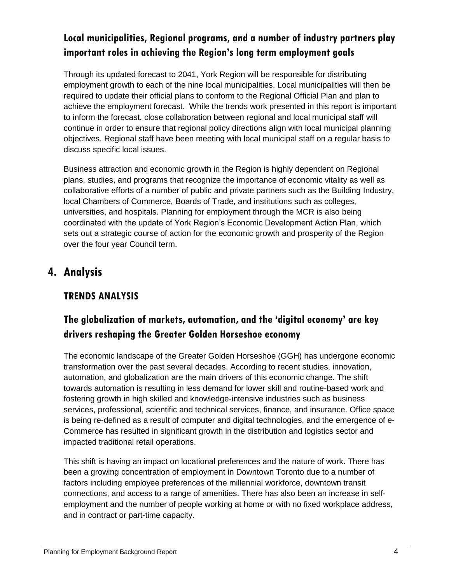### **Local municipalities, Regional programs, and a number of industry partners play important roles in achieving the Region's long term employment goals**

Through its updated forecast to 2041, York Region will be responsible for distributing employment growth to each of the nine local municipalities. Local municipalities will then be required to update their official plans to conform to the Regional Official Plan and plan to achieve the employment forecast. While the trends work presented in this report is important to inform the forecast, close collaboration between regional and local municipal staff will continue in order to ensure that regional policy directions align with local municipal planning objectives. Regional staff have been meeting with local municipal staff on a regular basis to discuss specific local issues.

Business attraction and economic growth in the Region is highly dependent on Regional plans, studies, and programs that recognize the importance of economic vitality as well as collaborative efforts of a number of public and private partners such as the Building Industry, local Chambers of Commerce, Boards of Trade, and institutions such as colleges, universities, and hospitals. Planning for employment through the MCR is also being coordinated with the update of York Region's Economic Development Action Plan, which sets out a strategic course of action for the economic growth and prosperity of the Region over the four year Council term.

# **4. Analysis**

### **TRENDS ANALYSIS**

# **The globalization of markets, automation, and the 'digital economy' are key drivers reshaping the Greater Golden Horseshoe economy**

The economic landscape of the Greater Golden Horseshoe (GGH) has undergone economic transformation over the past several decades. According to recent studies, innovation, automation, and globalization are the main drivers of this economic change. The shift towards automation is resulting in less demand for lower skill and routine-based work and fostering growth in high skilled and knowledge-intensive industries such as business services, professional, scientific and technical services, finance, and insurance. Office space is being re-defined as a result of computer and digital technologies, and the emergence of e-Commerce has resulted in significant growth in the distribution and logistics sector and impacted traditional retail operations.

This shift is having an impact on locational preferences and the nature of work. There has been a growing concentration of employment in Downtown Toronto due to a number of factors including employee preferences of the millennial workforce, downtown transit connections, and access to a range of amenities. There has also been an increase in selfemployment and the number of people working at home or with no fixed workplace address, and in contract or part-time capacity.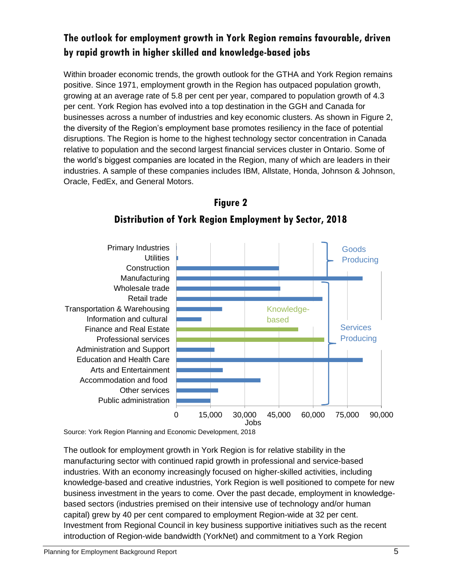# **The outlook for employment growth in York Region remains favourable, driven by rapid growth in higher skilled and knowledge-based jobs**

Within broader economic trends, the growth outlook for the GTHA and York Region remains positive. Since 1971, employment growth in the Region has outpaced population growth, growing at an average rate of 5.8 per cent per year, compared to population growth of 4.3 per cent. York Region has evolved into a top destination in the GGH and Canada for businesses across a number of industries and key economic clusters. As shown in Figure 2, the diversity of the Region's employment base promotes resiliency in the face of potential disruptions. The Region is home to the highest technology sector concentration in Canada relative to population and the second largest financial services cluster in Ontario. Some of the world's biggest companies are located in the Region, many of which are leaders in their industries. A sample of these companies includes IBM, Allstate, Honda, Johnson & Johnson, Oracle, FedEx, and General Motors.



# **Figure 2 Distribution of York Region Employment by Sector, 2018**

Source: York Region Planning and Economic Development, 2018

The outlook for employment growth in York Region is for relative stability in the manufacturing sector with continued rapid growth in professional and service-based industries. With an economy increasingly focused on higher-skilled activities, including knowledge-based and creative industries, York Region is well positioned to compete for new business investment in the years to come. Over the past decade, employment in knowledgebased sectors (industries premised on their intensive use of technology and/or human capital) grew by 40 per cent compared to employment Region-wide at 32 per cent. Investment from Regional Council in key business supportive initiatives such as the recent introduction of Region-wide bandwidth (YorkNet) and commitment to a York Region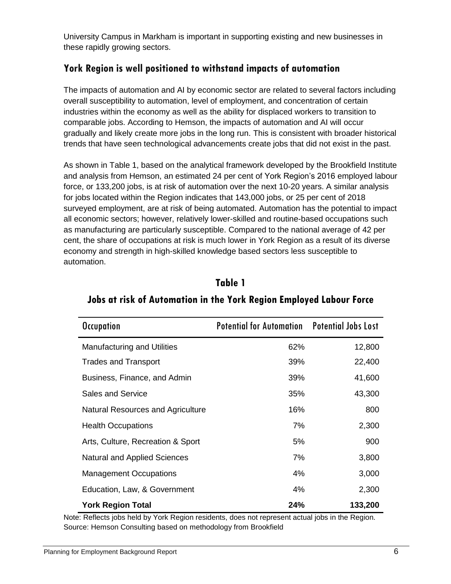University Campus in Markham is important in supporting existing and new businesses in these rapidly growing sectors.

### **York Region is well positioned to withstand impacts of automation**

The impacts of automation and AI by economic sector are related to several factors including overall susceptibility to automation, level of employment, and concentration of certain industries within the economy as well as the ability for displaced workers to transition to comparable jobs. According to Hemson, the impacts of automation and AI will occur gradually and likely create more jobs in the long run. This is consistent with broader historical trends that have seen technological advancements create jobs that did not exist in the past.

As shown in Table 1, based on the analytical framework developed by the Brookfield Institute and analysis from Hemson, an estimated 24 per cent of York Region's 2016 employed labour force, or 133,200 jobs, is at risk of automation over the next 10-20 years. A similar analysis for jobs located within the Region indicates that 143,000 jobs, or 25 per cent of 2018 surveyed employment, are at risk of being automated. Automation has the potential to impact all economic sectors; however, relatively lower-skilled and routine-based occupations such as manufacturing are particularly susceptible. Compared to the national average of 42 per cent, the share of occupations at risk is much lower in York Region as a result of its diverse economy and strength in high-skilled knowledge based sectors less susceptible to automation.

| <b>Occupation</b>                  | <b>Potential for Automation Potential Jobs Lost</b> |         |
|------------------------------------|-----------------------------------------------------|---------|
| <b>Manufacturing and Utilities</b> | 62%                                                 | 12,800  |
| <b>Trades and Transport</b>        | 39%                                                 | 22,400  |
| Business, Finance, and Admin       | 39%                                                 | 41,600  |
| <b>Sales and Service</b>           | 35%                                                 | 43,300  |
| Natural Resources and Agriculture  | 16%                                                 | 800     |
| <b>Health Occupations</b>          | 7%                                                  | 2,300   |
| Arts, Culture, Recreation & Sport  | 5%                                                  | 900     |
| Natural and Applied Sciences       | 7%                                                  | 3,800   |
| <b>Management Occupations</b>      | 4%                                                  | 3,000   |
| Education, Law, & Government       | 4%                                                  | 2,300   |
| <b>York Region Total</b>           | 24%                                                 | 133,200 |

# **Jobs at risk of Automation in the York Region Employed Labour Force**

**Table 1**

Note: Reflects jobs held by York Region residents, does not represent actual jobs in the Region. Source: Hemson Consulting based on methodology from Brookfield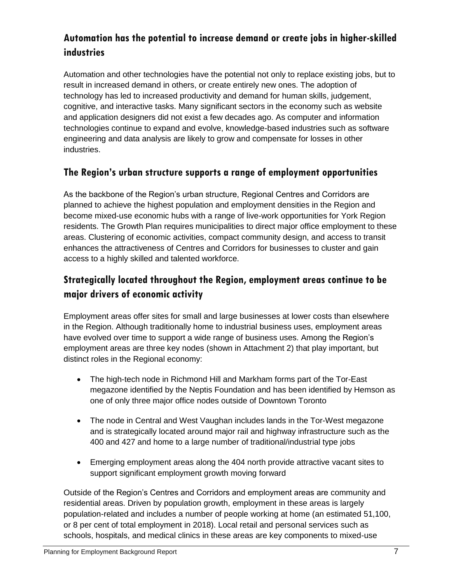# **Automation has the potential to increase demand or create jobs in higher-skilled industries**

Automation and other technologies have the potential not only to replace existing jobs, but to result in increased demand in others, or create entirely new ones. The adoption of technology has led to increased productivity and demand for human skills, judgement, cognitive, and interactive tasks. Many significant sectors in the economy such as website and application designers did not exist a few decades ago. As computer and information technologies continue to expand and evolve, knowledge-based industries such as software engineering and data analysis are likely to grow and compensate for losses in other industries.

#### **The Region's urban structure supports a range of employment opportunities**

As the backbone of the Region's urban structure, Regional Centres and Corridors are planned to achieve the highest population and employment densities in the Region and become mixed-use economic hubs with a range of live-work opportunities for York Region residents. The Growth Plan requires municipalities to direct major office employment to these areas. Clustering of economic activities, compact community design, and access to transit enhances the attractiveness of Centres and Corridors for businesses to cluster and gain access to a highly skilled and talented workforce.

### **Strategically located throughout the Region, employment areas continue to be major drivers of economic activity**

Employment areas offer sites for small and large businesses at lower costs than elsewhere in the Region. Although traditionally home to industrial business uses, employment areas have evolved over time to support a wide range of business uses. Among the Region's employment areas are three key nodes (shown in Attachment 2) that play important, but distinct roles in the Regional economy:

- The high-tech node in Richmond Hill and Markham forms part of the Tor-East megazone identified by the Neptis Foundation and has been identified by Hemson as one of only three major office nodes outside of Downtown Toronto
- The node in Central and West Vaughan includes lands in the Tor-West megazone and is strategically located around major rail and highway infrastructure such as the 400 and 427 and home to a large number of traditional/industrial type jobs
- Emerging employment areas along the 404 north provide attractive vacant sites to support significant employment growth moving forward

Outside of the Region's Centres and Corridors and employment areas are community and residential areas. Driven by population growth, employment in these areas is largely population-related and includes a number of people working at home (an estimated 51,100, or 8 per cent of total employment in 2018). Local retail and personal services such as schools, hospitals, and medical clinics in these areas are key components to mixed-use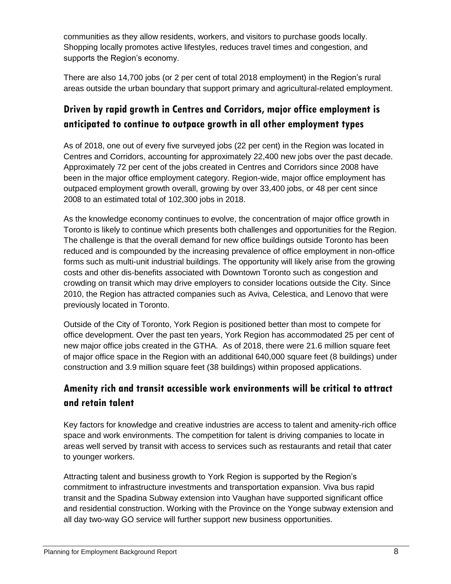communities as they allow residents, workers, and visitors to purchase goods locally. Shopping locally promotes active lifestyles, reduces travel times and congestion, and supports the Region's economy.

There are also 14,700 jobs (or 2 per cent of total 2018 employment) in the Region's rural areas outside the urban boundary that support primary and agricultural-related employment.

### **Driven by rapid growth in Centres and Corridors, major office employment is anticipated to continue to outpace growth in all other employment types**

As of 2018, one out of every five surveyed jobs (22 per cent) in the Region was located in Centres and Corridors, accounting for approximately 22,400 new jobs over the past decade. Approximately 72 per cent of the jobs created in Centres and Corridors since 2008 have been in the major office employment category. Region-wide, major office employment has outpaced employment growth overall, growing by over 33,400 jobs, or 48 per cent since 2008 to an estimated total of 102,300 jobs in 2018.

As the knowledge economy continues to evolve, the concentration of major office growth in Toronto is likely to continue which presents both challenges and opportunities for the Region. The challenge is that the overall demand for new office buildings outside Toronto has been reduced and is compounded by the increasing prevalence of office employment in non-office forms such as multi-unit industrial buildings. The opportunity will likely arise from the growing costs and other dis-benefits associated with Downtown Toronto such as congestion and crowding on transit which may drive employers to consider locations outside the City. Since 2010, the Region has attracted companies such as Aviva, Celestica, and Lenovo that were previously located in Toronto.

Outside of the City of Toronto, York Region is positioned better than most to compete for office development. Over the past ten years, York Region has accommodated 25 per cent of new major office jobs created in the GTHA. As of 2018, there were 21.6 million square feet of major office space in the Region with an additional 640,000 square feet (8 buildings) under construction and 3.9 million square feet (38 buildings) within proposed applications.

### **Amenity rich and transit accessible work environments will be critical to attract and retain talent**

Key factors for knowledge and creative industries are access to talent and amenity-rich office space and work environments. The competition for talent is driving companies to locate in areas well served by transit with access to services such as restaurants and retail that cater to younger workers.

Attracting talent and business growth to York Region is supported by the Region's commitment to infrastructure investments and transportation expansion. Viva bus rapid transit and the Spadina Subway extension into Vaughan have supported significant office and residential construction. Working with the Province on the Yonge subway extension and all day two-way GO service will further support new business opportunities.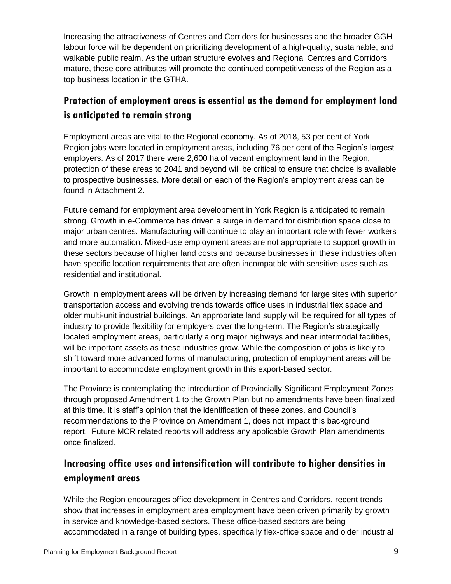Increasing the attractiveness of Centres and Corridors for businesses and the broader GGH labour force will be dependent on prioritizing development of a high-quality, sustainable, and walkable public realm. As the urban structure evolves and Regional Centres and Corridors mature, these core attributes will promote the continued competitiveness of the Region as a top business location in the GTHA.

# **Protection of employment areas is essential as the demand for employment land is anticipated to remain strong**

Employment areas are vital to the Regional economy. As of 2018, 53 per cent of York Region jobs were located in employment areas, including 76 per cent of the Region's largest employers. As of 2017 there were 2,600 ha of vacant employment land in the Region, protection of these areas to 2041 and beyond will be critical to ensure that choice is available to prospective businesses. More detail on each of the Region's employment areas can be found in Attachment 2.

Future demand for employment area development in York Region is anticipated to remain strong. Growth in e-Commerce has driven a surge in demand for distribution space close to major urban centres. Manufacturing will continue to play an important role with fewer workers and more automation. Mixed-use employment areas are not appropriate to support growth in these sectors because of higher land costs and because businesses in these industries often have specific location requirements that are often incompatible with sensitive uses such as residential and institutional.

Growth in employment areas will be driven by increasing demand for large sites with superior transportation access and evolving trends towards office uses in industrial flex space and older multi-unit industrial buildings. An appropriate land supply will be required for all types of industry to provide flexibility for employers over the long-term. The Region's strategically located employment areas, particularly along major highways and near intermodal facilities, will be important assets as these industries grow. While the composition of jobs is likely to shift toward more advanced forms of manufacturing, protection of employment areas will be important to accommodate employment growth in this export-based sector.

The Province is contemplating the introduction of Provincially Significant Employment Zones through proposed Amendment 1 to the Growth Plan but no amendments have been finalized at this time. It is staff's opinion that the identification of these zones, and Council's recommendations to the Province on Amendment 1, does not impact this background report. Future MCR related reports will address any applicable Growth Plan amendments once finalized.

# **Increasing office uses and intensification will contribute to higher densities in employment areas**

While the Region encourages office development in Centres and Corridors, recent trends show that increases in employment area employment have been driven primarily by growth in service and knowledge-based sectors. These office-based sectors are being accommodated in a range of building types, specifically flex-office space and older industrial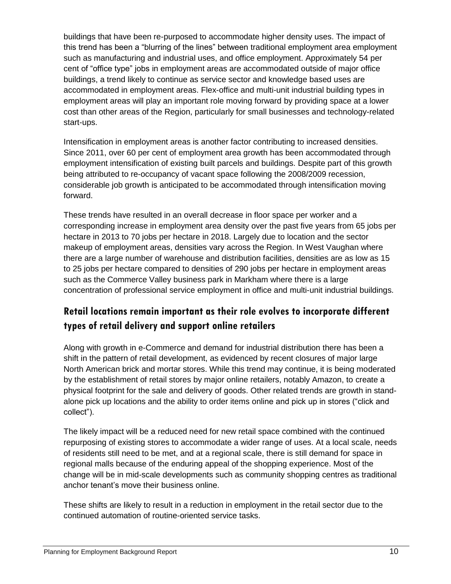buildings that have been re-purposed to accommodate higher density uses. The impact of this trend has been a "blurring of the lines" between traditional employment area employment such as manufacturing and industrial uses, and office employment. Approximately 54 per cent of "office type" jobs in employment areas are accommodated outside of major office buildings, a trend likely to continue as service sector and knowledge based uses are accommodated in employment areas. Flex-office and multi-unit industrial building types in employment areas will play an important role moving forward by providing space at a lower cost than other areas of the Region, particularly for small businesses and technology-related start-ups.

Intensification in employment areas is another factor contributing to increased densities. Since 2011, over 60 per cent of employment area growth has been accommodated through employment intensification of existing built parcels and buildings. Despite part of this growth being attributed to re-occupancy of vacant space following the 2008/2009 recession, considerable job growth is anticipated to be accommodated through intensification moving forward.

These trends have resulted in an overall decrease in floor space per worker and a corresponding increase in employment area density over the past five years from 65 jobs per hectare in 2013 to 70 jobs per hectare in 2018. Largely due to location and the sector makeup of employment areas, densities vary across the Region. In West Vaughan where there are a large number of warehouse and distribution facilities, densities are as low as 15 to 25 jobs per hectare compared to densities of 290 jobs per hectare in employment areas such as the Commerce Valley business park in Markham where there is a large concentration of professional service employment in office and multi-unit industrial buildings.

### **Retail locations remain important as their role evolves to incorporate different types of retail delivery and support online retailers**

Along with growth in e-Commerce and demand for industrial distribution there has been a shift in the pattern of retail development, as evidenced by recent closures of major large North American brick and mortar stores. While this trend may continue, it is being moderated by the establishment of retail stores by major online retailers, notably Amazon, to create a physical footprint for the sale and delivery of goods. Other related trends are growth in standalone pick up locations and the ability to order items online and pick up in stores ("click and collect").

The likely impact will be a reduced need for new retail space combined with the continued repurposing of existing stores to accommodate a wider range of uses. At a local scale, needs of residents still need to be met, and at a regional scale, there is still demand for space in regional malls because of the enduring appeal of the shopping experience. Most of the change will be in mid-scale developments such as community shopping centres as traditional anchor tenant's move their business online.

These shifts are likely to result in a reduction in employment in the retail sector due to the continued automation of routine-oriented service tasks.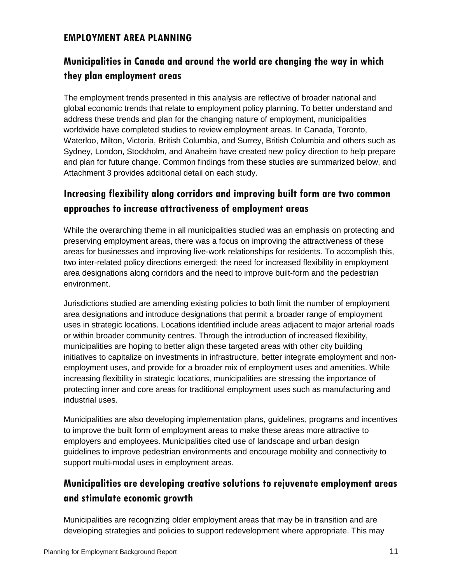#### **EMPLOYMENT AREA PLANNING**

# **Municipalities in Canada and around the world are changing the way in which they plan employment areas**

The employment trends presented in this analysis are reflective of broader national and global economic trends that relate to employment policy planning. To better understand and address these trends and plan for the changing nature of employment, municipalities worldwide have completed studies to review employment areas. In Canada, Toronto, Waterloo, Milton, Victoria, British Columbia, and Surrey, British Columbia and others such as Sydney, London, Stockholm, and Anaheim have created new policy direction to help prepare and plan for future change. Common findings from these studies are summarized below, and Attachment 3 provides additional detail on each study.

### **Increasing flexibility along corridors and improving built form are two common approaches to increase attractiveness of employment areas**

While the overarching theme in all municipalities studied was an emphasis on protecting and preserving employment areas, there was a focus on improving the attractiveness of these areas for businesses and improving live-work relationships for residents. To accomplish this, two inter-related policy directions emerged: the need for increased flexibility in employment area designations along corridors and the need to improve built-form and the pedestrian environment.

Jurisdictions studied are amending existing policies to both limit the number of employment area designations and introduce designations that permit a broader range of employment uses in strategic locations. Locations identified include areas adjacent to major arterial roads or within broader community centres. Through the introduction of increased flexibility, municipalities are hoping to better align these targeted areas with other city building initiatives to capitalize on investments in infrastructure, better integrate employment and nonemployment uses, and provide for a broader mix of employment uses and amenities. While increasing flexibility in strategic locations, municipalities are stressing the importance of protecting inner and core areas for traditional employment uses such as manufacturing and industrial uses.

Municipalities are also developing implementation plans, guidelines, programs and incentives to improve the built form of employment areas to make these areas more attractive to employers and employees. Municipalities cited use of landscape and urban design guidelines to improve pedestrian environments and encourage mobility and connectivity to support multi-modal uses in employment areas.

### **Municipalities are developing creative solutions to rejuvenate employment areas and stimulate economic growth**

Municipalities are recognizing older employment areas that may be in transition and are developing strategies and policies to support redevelopment where appropriate. This may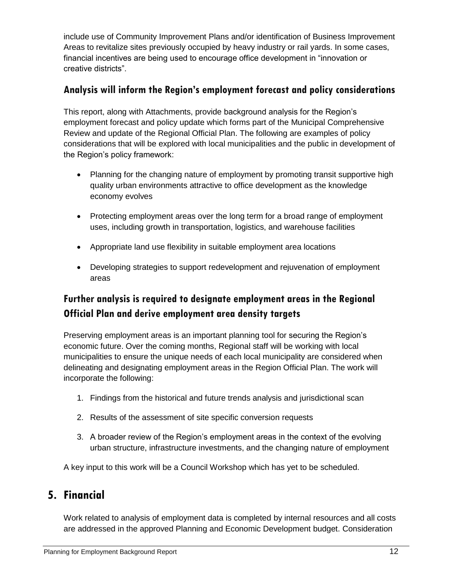include use of Community Improvement Plans and/or identification of Business Improvement Areas to revitalize sites previously occupied by heavy industry or rail yards. In some cases, financial incentives are being used to encourage office development in "innovation or creative districts".

#### **Analysis will inform the Region's employment forecast and policy considerations**

This report, along with Attachments, provide background analysis for the Region's employment forecast and policy update which forms part of the Municipal Comprehensive Review and update of the Regional Official Plan. The following are examples of policy considerations that will be explored with local municipalities and the public in development of the Region's policy framework:

- Planning for the changing nature of employment by promoting transit supportive high quality urban environments attractive to office development as the knowledge economy evolves
- Protecting employment areas over the long term for a broad range of employment uses, including growth in transportation, logistics, and warehouse facilities
- Appropriate land use flexibility in suitable employment area locations
- Developing strategies to support redevelopment and rejuvenation of employment areas

# **Further analysis is required to designate employment areas in the Regional Official Plan and derive employment area density targets**

Preserving employment areas is an important planning tool for securing the Region's economic future. Over the coming months, Regional staff will be working with local municipalities to ensure the unique needs of each local municipality are considered when delineating and designating employment areas in the Region Official Plan. The work will incorporate the following:

- 1. Findings from the historical and future trends analysis and jurisdictional scan
- 2. Results of the assessment of site specific conversion requests
- 3. A broader review of the Region's employment areas in the context of the evolving urban structure, infrastructure investments, and the changing nature of employment

A key input to this work will be a Council Workshop which has yet to be scheduled.

# **5. Financial**

Work related to analysis of employment data is completed by internal resources and all costs are addressed in the approved Planning and Economic Development budget. Consideration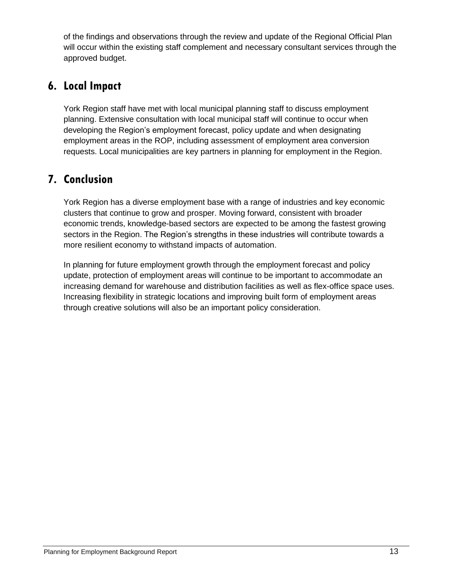of the findings and observations through the review and update of the Regional Official Plan will occur within the existing staff complement and necessary consultant services through the approved budget.

# **6. Local Impact**

York Region staff have met with local municipal planning staff to discuss employment planning. Extensive consultation with local municipal staff will continue to occur when developing the Region's employment forecast, policy update and when designating employment areas in the ROP, including assessment of employment area conversion requests. Local municipalities are key partners in planning for employment in the Region.

# **7. Conclusion**

York Region has a diverse employment base with a range of industries and key economic clusters that continue to grow and prosper. Moving forward, consistent with broader economic trends, knowledge-based sectors are expected to be among the fastest growing sectors in the Region. The Region's strengths in these industries will contribute towards a more resilient economy to withstand impacts of automation.

In planning for future employment growth through the employment forecast and policy update, protection of employment areas will continue to be important to accommodate an increasing demand for warehouse and distribution facilities as well as flex-office space uses. Increasing flexibility in strategic locations and improving built form of employment areas through creative solutions will also be an important policy consideration.